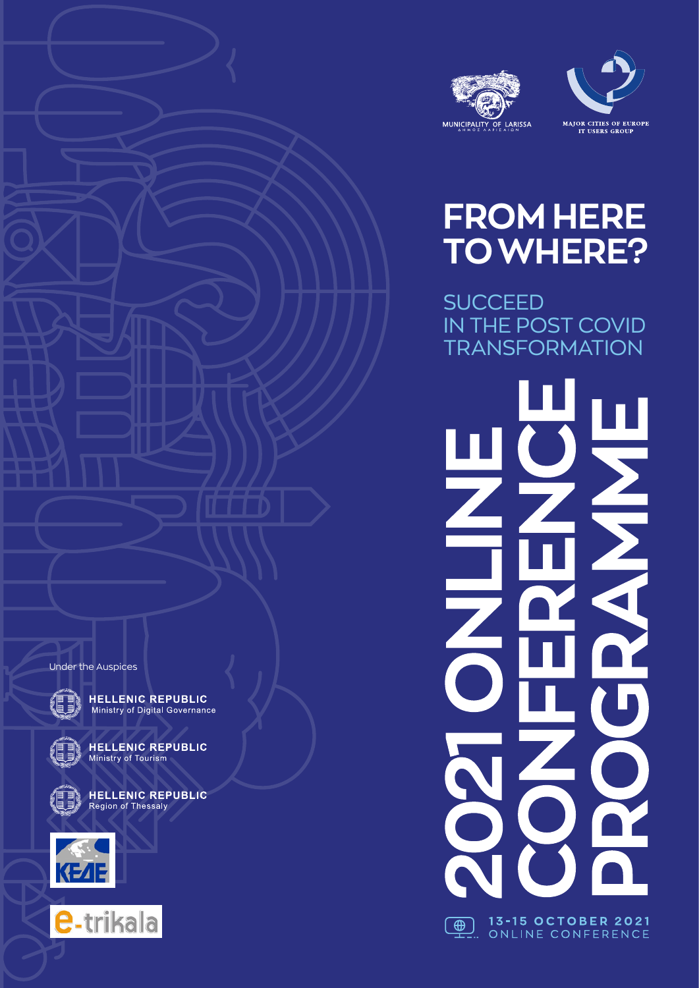



NN N

R

| 1<mark>3-15 OCTOBER 2021</mark><br>.. ONLINE CONFERENCE

 $\bigoplus$ 

# **FROM HERE TO WHERE?**

**SUCCEED** IN THE POST COVID **TRANSFORMATION** 

Under the Auspices



**HELLENIC REPUBLIC**<br>Ministry of Digital Governance



**HELLENIC REPUBLIC** Ministry of Tourism



**HELLENIC REPUBLIC** Region of Thessaly



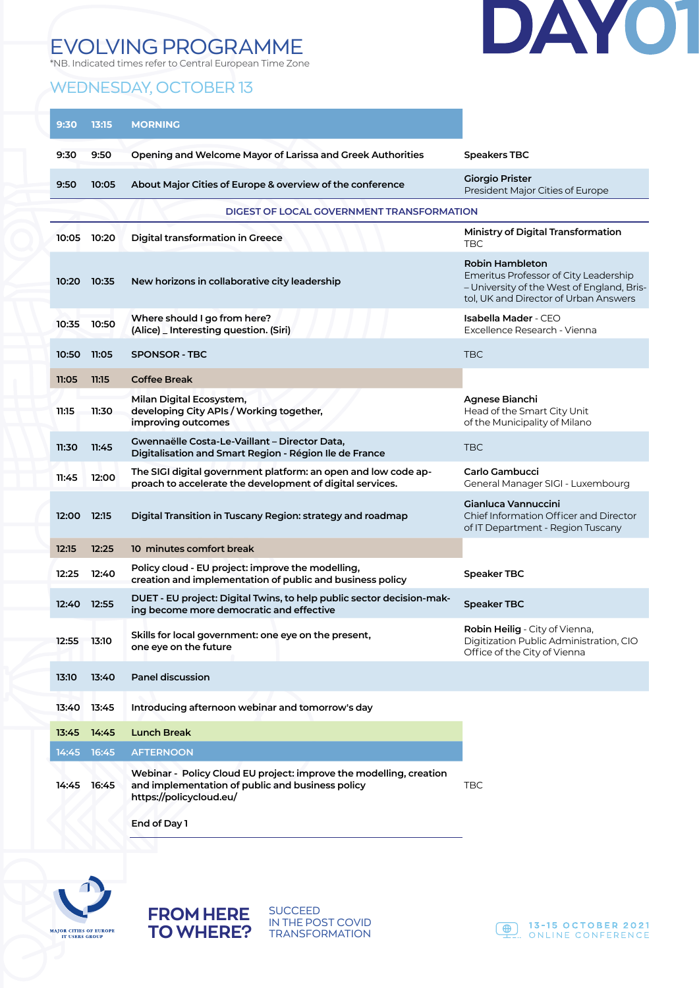## EVOLVING PROGRAMME

\*NB. Indicated times refer to Central European Time Zone

#### WEDNESDAY, OCTOBER 13



| 9:30  | 13:15 | <b>MORNING</b>                                                                                                                                    |                                                                                                                                                 |
|-------|-------|---------------------------------------------------------------------------------------------------------------------------------------------------|-------------------------------------------------------------------------------------------------------------------------------------------------|
| 9:30  | 9:50  | Opening and Welcome Mayor of Larissa and Greek Authorities                                                                                        | <b>Speakers TBC</b>                                                                                                                             |
| 9:50  | 10:05 | About Major Cities of Europe & overview of the conference                                                                                         | <b>Giorgio Prister</b><br>President Major Cities of Europe                                                                                      |
|       |       | DIGEST OF LOCAL GOVERNMENT TRANSFORMATION                                                                                                         |                                                                                                                                                 |
| 10:05 | 10:20 | <b>Digital transformation in Greece</b>                                                                                                           | Ministry of Digital Transformation<br><b>TBC</b>                                                                                                |
| 10:20 | 10:35 | New horizons in collaborative city leadership                                                                                                     | Robin Hambleton<br>Emeritus Professor of City Leadership<br>- University of the West of England, Bris-<br>tol, UK and Director of Urban Answers |
| 10:35 | 10:50 | Where should I go from here?<br>(Alice) _ Interesting question. (Siri)                                                                            | Isabella Mader - CEO<br>Excellence Research - Vienna                                                                                            |
| 10:50 | 11:05 | <b>SPONSOR - TBC</b>                                                                                                                              | <b>TBC</b>                                                                                                                                      |
| 11:05 | 11:15 | <b>Coffee Break</b>                                                                                                                               |                                                                                                                                                 |
| 11:15 | 11:30 | Milan Digital Ecosystem,<br>developing City APIs / Working together,<br>improving outcomes                                                        | Agnese Bianchi<br>Head of the Smart City Unit<br>of the Municipality of Milano                                                                  |
| 11:30 | 11:45 | Gwennaëlle Costa-Le-Vaillant - Director Data,<br>Digitalisation and Smart Region - Région Ile de France                                           | <b>TBC</b>                                                                                                                                      |
| 11:45 | 12:00 | The SIGI digital government platform: an open and low code ap-<br>proach to accelerate the development of digital services.                       | Carlo Gambucci<br>General Manager SIGI - Luxembourg                                                                                             |
| 12:00 | 12:15 | Digital Transition in Tuscany Region: strategy and roadmap                                                                                        | <b>Gianluca Vannuccini</b><br>Chief Information Officer and Director<br>of IT Department - Region Tuscany                                       |
| 12:15 | 12:25 | 10 minutes comfort break                                                                                                                          |                                                                                                                                                 |
| 12:25 | 12:40 | Policy cloud - EU project: improve the modelling,<br>creation and implementation of public and business policy                                    | Speaker TBC                                                                                                                                     |
| 12:40 | 12:55 | DUET - EU project: Digital Twins, to help public sector decision-mak-<br>ing become more democratic and effective                                 | <b>Speaker TBC</b>                                                                                                                              |
| 12:55 | 13:10 | Skills for local government: one eye on the present,<br>one eye on the future                                                                     | Robin Heilig - City of Vienna,<br>Digitization Public Administration, CIO<br>Office of the City of Vienna                                       |
| 13:10 | 13:40 | <b>Panel discussion</b>                                                                                                                           |                                                                                                                                                 |
| 13:40 | 13:45 | Introducing afternoon webinar and tomorrow's day                                                                                                  |                                                                                                                                                 |
| 13:45 | 14:45 | <b>Lunch Break</b>                                                                                                                                |                                                                                                                                                 |
| 14:45 | 16:45 | <b>AFTERNOON</b>                                                                                                                                  |                                                                                                                                                 |
| 14:45 | 16:45 | Webinar - Policy Cloud EU project: improve the modelling, creation<br>and implementation of public and business policy<br>https://policycloud.eu/ | <b>TBC</b>                                                                                                                                      |

**End of Day 1**



**FROM HERE TO WHERE?**

SUCCEED IN THE POST COVID **TRANSFORMATION** 

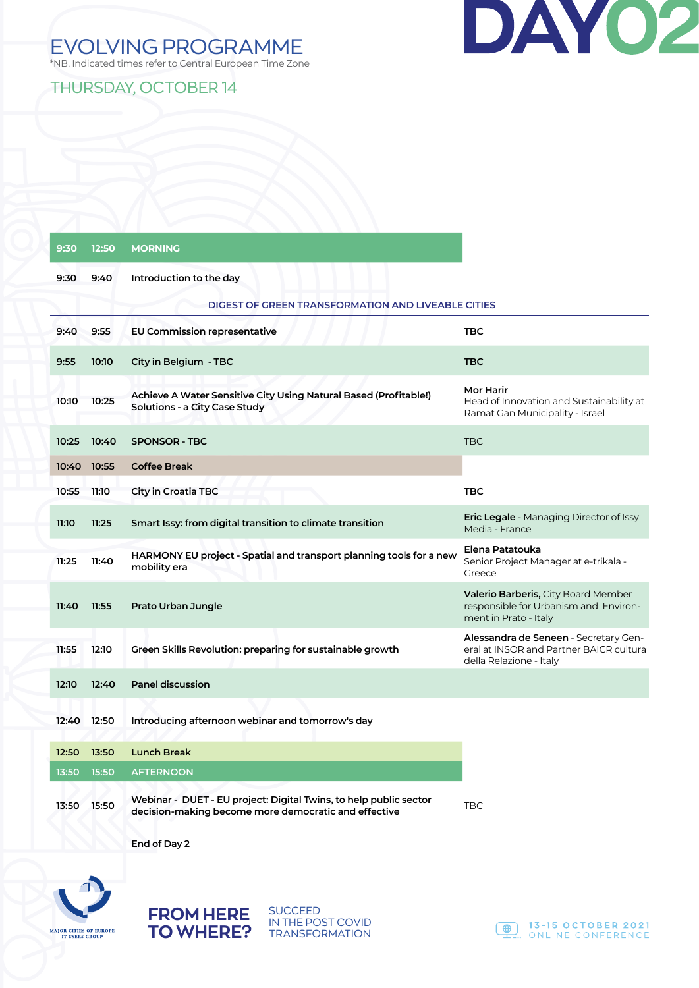

### EVOLVING PROGRAMME

\*NB. Indicated times refer to Central European Time Zone

THURSDAY, OCTOBER 14

| 9:30  | 12:50       | <b>MORNING</b>                                                                                                            |                                                                                                              |
|-------|-------------|---------------------------------------------------------------------------------------------------------------------------|--------------------------------------------------------------------------------------------------------------|
| 9:30  | 9:40        | Introduction to the day                                                                                                   |                                                                                                              |
|       |             | <b>DIGEST OF GREEN TRANSFORMATION AND LIVEABLE CITIES</b>                                                                 |                                                                                                              |
| 9:40  | 9:55        | <b>EU Commission representative</b>                                                                                       | <b>TBC</b>                                                                                                   |
| 9:55  | 10:10       | City in Belgium - TBC                                                                                                     | <b>TBC</b>                                                                                                   |
| 10:10 | 10:25       | Achieve A Water Sensitive City Using Natural Based (Profitable!)<br>Solutions - a City Case Study                         | Mor Harir<br>Head of Innovation and Sustainability at<br>Ramat Gan Municipality - Israel                     |
| 10:25 | 10:40       | <b>SPONSOR - TBC</b>                                                                                                      | <b>TBC</b>                                                                                                   |
| 10:40 | 10:55       | <b>Coffee Break</b>                                                                                                       |                                                                                                              |
| 10:55 | 11:10       | City in Croatia TBC                                                                                                       | <b>TBC</b>                                                                                                   |
| 11:10 | 11:25       | Smart Issy: from digital transition to climate transition                                                                 | <b>Eric Legale</b> - Managing Director of Issy<br>Media - France                                             |
| 11:25 | 11:40       | HARMONY EU project - Spatial and transport planning tools for a new<br>mobility era                                       | Elena Patatouka<br>Senior Project Manager at e-trikala -<br>Greece                                           |
| 11:40 | 11:55       | Prato Urban Jungle                                                                                                        | <b>Valerio Barberis, City Board Member</b><br>responsible for Urbanism and Environ-<br>ment in Prato - Italy |
| 11:55 | 12:10       | Green Skills Revolution: preparing for sustainable growth                                                                 | Alessandra de Seneen - Secretary Gen-<br>eral at INSOR and Partner BAICR cultura<br>della Relazione - Italy  |
| 12:10 | 12:40       | <b>Panel discussion</b>                                                                                                   |                                                                                                              |
|       | 12:40 12:50 | Introducing afternoon webinar and tomorrow's day                                                                          |                                                                                                              |
| 12:50 | 13:50       | <b>Lunch Break</b>                                                                                                        |                                                                                                              |
| 13:50 | 15:50       | <b>AFTERNOON</b>                                                                                                          |                                                                                                              |
| 13:50 | 15:50       | Webinar - DUET - EU project: Digital Twins, to help public sector<br>decision-making become more democratic and effective | <b>TBC</b>                                                                                                   |

**End of Day 2**

**FROM HERE TO WHERE?**



SUCCEED IN THE POST COVID TRANSFORMATION

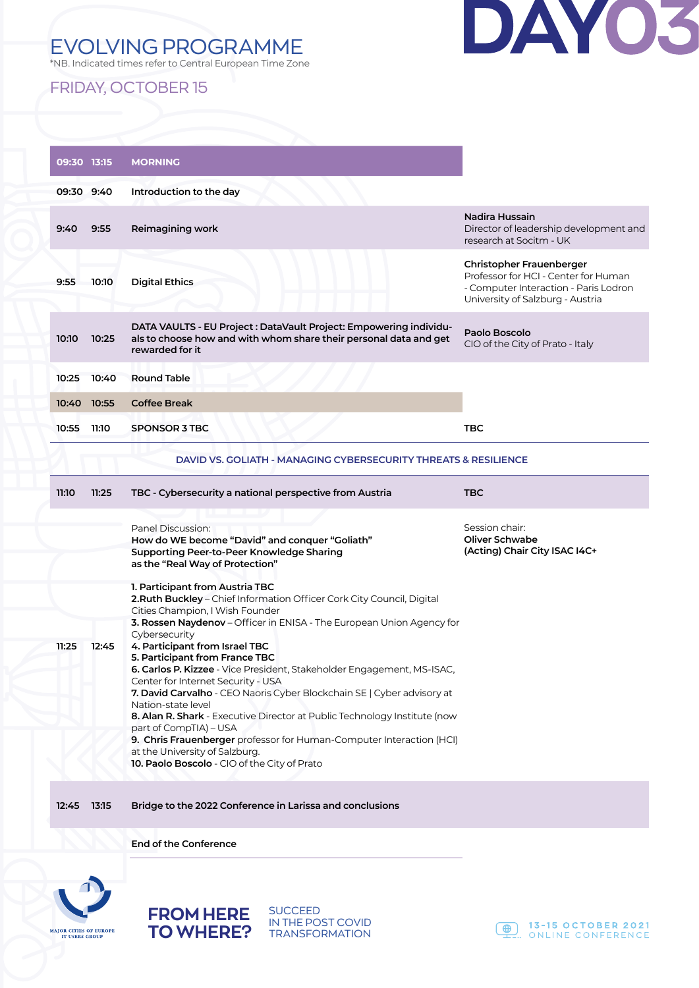## EVOLVING PROGRAMME



\*NB. Indicated times refer to Central European Time Zone

#### FRIDAY, OCTOBER 15

|            | 09:30 13:15 | <b>MORNING</b>                                                                                                                                                                                                                                                                                                                                                                                                                                                                                                                                    |                                                                                                                                                      |
|------------|-------------|---------------------------------------------------------------------------------------------------------------------------------------------------------------------------------------------------------------------------------------------------------------------------------------------------------------------------------------------------------------------------------------------------------------------------------------------------------------------------------------------------------------------------------------------------|------------------------------------------------------------------------------------------------------------------------------------------------------|
| 09:30 9:40 |             | Introduction to the day                                                                                                                                                                                                                                                                                                                                                                                                                                                                                                                           |                                                                                                                                                      |
| 9:40       | 9:55        | Reimagining work                                                                                                                                                                                                                                                                                                                                                                                                                                                                                                                                  | Nadira Hussain<br>Director of leadership development and<br>research at Socitm - UK                                                                  |
| 9:55       | 10:10       | <b>Digital Ethics</b>                                                                                                                                                                                                                                                                                                                                                                                                                                                                                                                             | <b>Christopher Frauenberger</b><br>Professor for HCI - Center for Human<br>- Computer Interaction - Paris Lodron<br>University of Salzburg - Austria |
| 10:10      | 10:25       | DATA VAULTS - EU Project : DataVault Project: Empowering individu-<br>als to choose how and with whom share their personal data and get<br>rewarded for it                                                                                                                                                                                                                                                                                                                                                                                        | Paolo Boscolo<br>CIO of the City of Prato - Italy                                                                                                    |
| 10:25      | 10:40       | <b>Round Table</b>                                                                                                                                                                                                                                                                                                                                                                                                                                                                                                                                |                                                                                                                                                      |
| 10:40      | 10:55       | <b>Coffee Break</b>                                                                                                                                                                                                                                                                                                                                                                                                                                                                                                                               |                                                                                                                                                      |
| 10:55      | 11:10       | <b>SPONSOR 3 TBC</b>                                                                                                                                                                                                                                                                                                                                                                                                                                                                                                                              | TBC                                                                                                                                                  |
|            |             | DAVID VS. GOLIATH - MANAGING CYBERSECURITY THREATS & RESILIENCE                                                                                                                                                                                                                                                                                                                                                                                                                                                                                   |                                                                                                                                                      |
| 11:10      | 11:25       | TBC - Cybersecurity a national perspective from Austria                                                                                                                                                                                                                                                                                                                                                                                                                                                                                           | TBC                                                                                                                                                  |
|            |             | Panel Discussion:<br>How do WE become "David" and conquer "Goliath"<br><b>Supporting Peer-to-Peer Knowledge Sharing</b><br>as the "Real Way of Protection"                                                                                                                                                                                                                                                                                                                                                                                        | Session chair:<br><b>Oliver Schwabe</b><br>(Acting) Chair City ISAC I4C+                                                                             |
|            |             | 1. Participant from Austria TBC<br>2. Ruth Buckley - Chief Information Officer Cork City Council, Digital<br>Cities Champion, I Wish Founder                                                                                                                                                                                                                                                                                                                                                                                                      |                                                                                                                                                      |
|            |             | 3. Rossen Naydenov - Officer in ENISA - The European Union Agency for<br>Cybersecurity                                                                                                                                                                                                                                                                                                                                                                                                                                                            |                                                                                                                                                      |
| 11:25      | 12:45       | 4. Participant from Israel TBC<br>5. Participant from France TBC<br>6. Carlos P. Kizzee - Vice President, Stakeholder Engagement, MS-ISAC,<br>Center for Internet Security - USA<br>7. David Carvalho - CEO Naoris Cyber Blockchain SE   Cyber advisory at<br>Nation-state level<br>8. Alan R. Shark - Executive Director at Public Technology Institute (now<br>part of CompTIA) - USA<br>9. Chris Frauenberger professor for Human-Computer Interaction (HCI)<br>at the University of Salzburg.<br>10. Paolo Boscolo - CIO of the City of Prato |                                                                                                                                                      |
| 12:45      | 13:15       | Bridge to the 2022 Conference in Larissa and conclusions                                                                                                                                                                                                                                                                                                                                                                                                                                                                                          |                                                                                                                                                      |

**End of the Conference**



**FROM HERE TO WHERE?** SUCCEED IN THE POST COVID **TRANSFORMATION**